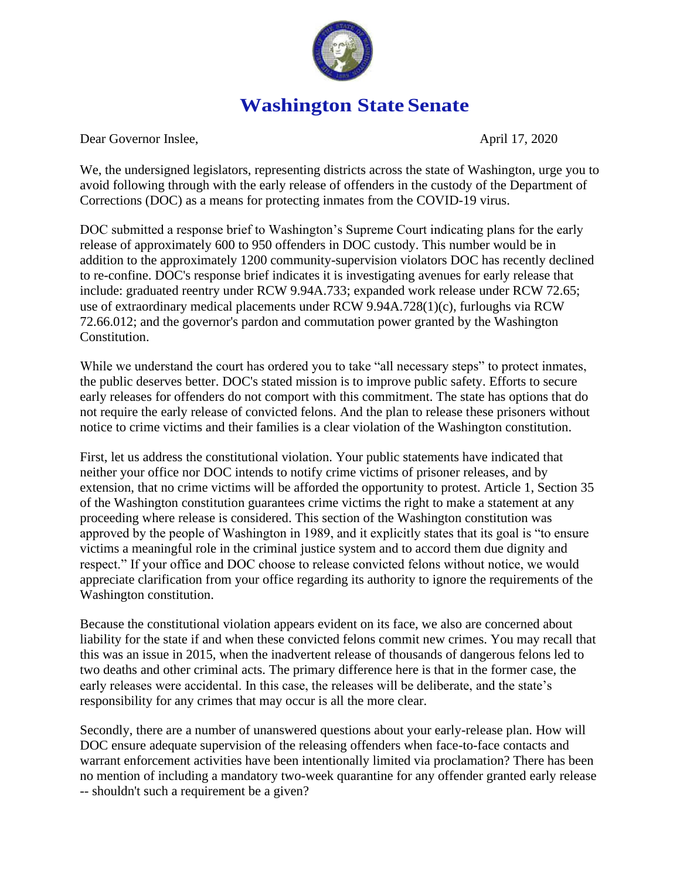

## **Washington State Senate**

Dear Governor Inslee, April 17, 2020

We, the undersigned legislators, representing districts across the state of Washington, urge you to avoid following through with the early release of offenders in the custody of the Department of Corrections (DOC) as a means for protecting inmates from the COVID-19 virus.

DOC submitted a response brief to Washington's Supreme Court indicating plans for the early release of approximately 600 to 950 offenders in DOC custody. This number would be in addition to the approximately 1200 community-supervision violators DOC has recently declined to re-confine. DOC's response brief indicates it is investigating avenues for early release that include: graduated reentry under RCW 9.94A.733; expanded work release under RCW 72.65; use of extraordinary medical placements under RCW 9.94A.728(1)(c), furloughs via RCW 72.66.012; and the governor's pardon and commutation power granted by the Washington Constitution.

While we understand the court has ordered you to take "all necessary steps" to protect inmates, the public deserves better. DOC's stated mission is to improve public safety. Efforts to secure early releases for offenders do not comport with this commitment. The state has options that do not require the early release of convicted felons. And the plan to release these prisoners without notice to crime victims and their families is a clear violation of the Washington constitution.

First, let us address the constitutional violation. Your public statements have indicated that neither your office nor DOC intends to notify crime victims of prisoner releases, and by extension, that no crime victims will be afforded the opportunity to protest. Article 1, Section 35 of the Washington constitution guarantees crime victims the right to make a statement at any proceeding where release is considered. This section of the Washington constitution was approved by the people of Washington in 1989, and it explicitly states that its goal is "to ensure victims a meaningful role in the criminal justice system and to accord them due dignity and respect." If your office and DOC choose to release convicted felons without notice, we would appreciate clarification from your office regarding its authority to ignore the requirements of the Washington constitution.

Because the constitutional violation appears evident on its face, we also are concerned about liability for the state if and when these convicted felons commit new crimes. You may recall that this was an issue in 2015, when the inadvertent release of thousands of dangerous felons led to two deaths and other criminal acts. The primary difference here is that in the former case, the early releases were accidental. In this case, the releases will be deliberate, and the state's responsibility for any crimes that may occur is all the more clear.

Secondly, there are a number of unanswered questions about your early-release plan. How will DOC ensure adequate supervision of the releasing offenders when face-to-face contacts and warrant enforcement activities have been intentionally limited via proclamation? There has been no mention of including a mandatory two-week quarantine for any offender granted early release -- shouldn't such a requirement be a given?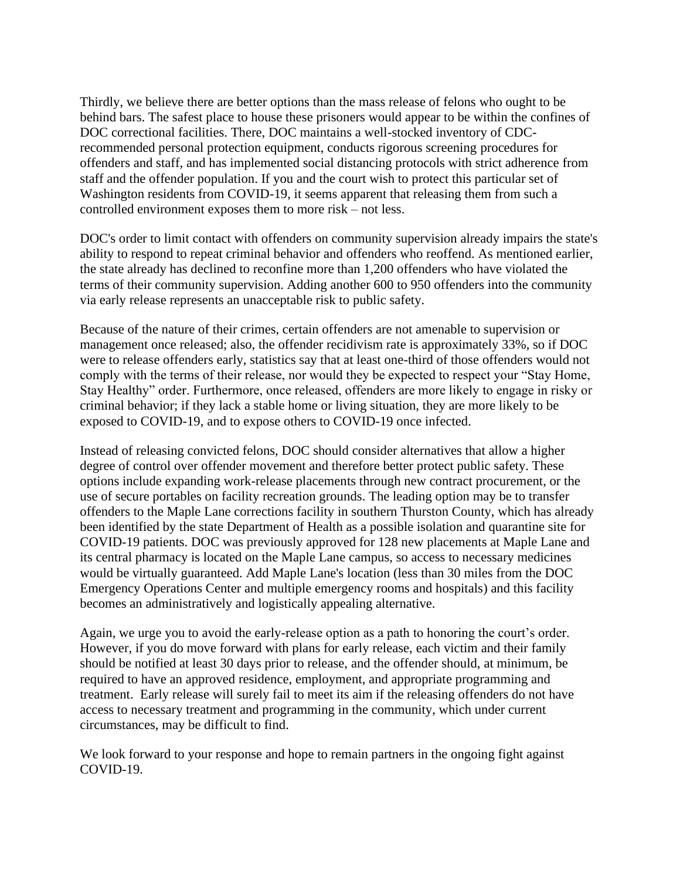Thirdly, we believe there are better options than the mass release of felons who ought to be behind bars. The safest place to house these prisoners would appear to be within the confines of DOC correctional facilities. There, DOC maintains a well-stocked inventory of CDCrecommended personal protection equipment, conducts rigorous screening procedures for offenders and staff, and has implemented social distancing protocols with strict adherence from staff and the offender population. If you and the court wish to protect this particular set of Washington residents from COVID-19, it seems apparent that releasing them from such a controlled environment exposes them to more risk – not less.

DOC's order to limit contact with offenders on community supervision already impairs the state's ability to respond to repeat criminal behavior and offenders who reoffend. As mentioned earlier, the state already has declined to reconfine more than 1,200 offenders who have violated the terms of their community supervision. Adding another 600 to 950 offenders into the community via early release represents an unacceptable risk to public safety.

Because of the nature of their crimes, certain offenders are not amenable to supervision or management once released; also, the offender recidivism rate is approximately 33%, so if DOC were to release offenders early, statistics say that at least one-third of those offenders would not comply with the terms of their release, nor would they be expected to respect your "Stay Home, Stay Healthy" order. Furthermore, once released, offenders are more likely to engage in risky or criminal behavior; if they lack a stable home or living situation, they are more likely to be exposed to COVID-19, and to expose others to COVID-19 once infected.

Instead of releasing convicted felons, DOC should consider alternatives that allow a higher degree of control over offender movement and therefore better protect public safety. These options include expanding work-release placements through new contract procurement, or the use of secure portables on facility recreation grounds. The leading option may be to transfer offenders to the Maple Lane corrections facility in southern Thurston County, which has already been identified by the state Department of Health as a possible isolation and quarantine site for COVID-19 patients. DOC was previously approved for 128 new placements at Maple Lane and its central pharmacy is located on the Maple Lane campus, so access to necessary medicines would be virtually guaranteed. Add Maple Lane's location (less than 30 miles from the DOC Emergency Operations Center and multiple emergency rooms and hospitals) and this facility becomes an administratively and logistically appealing alternative.

Again, we urge you to avoid the early-release option as a path to honoring the court's order. However, if you do move forward with plans for early release, each victim and their family should be notified at least 30 days prior to release, and the offender should, at minimum, be required to have an approved residence, employment, and appropriate programming and treatment. Early release will surely fail to meet its aim if the releasing offenders do not have access to necessary treatment and programming in the community, which under current circumstances, may be difficult to find.

We look forward to your response and hope to remain partners in the ongoing fight against COVID-19.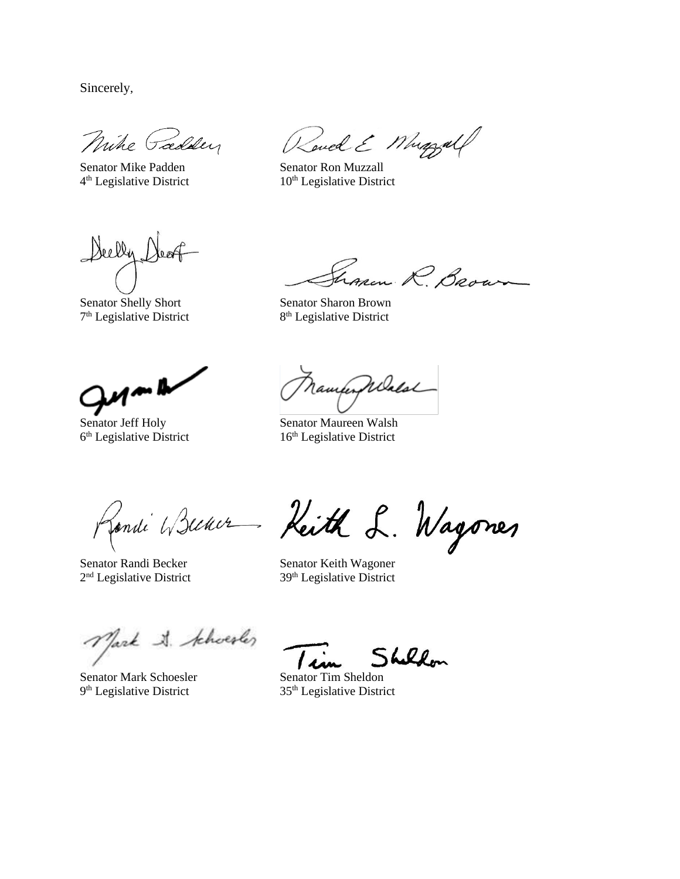Sincerely,

Mike Paddey

Senator Mike Padden Senator Ron Muzzall 4<sup>th</sup> Legislative District

Sand E Muggall

 $10<sup>th</sup>$  Legislative District

Deelly Dear

7<sup>th</sup> Legislative District 8

non R. Brown Senator Shelly Short Senator Sharon Brown

8<sup>th</sup> Legislative District

 $\overline{\mathbf{w}}$ 

6<sup>th</sup> Legislative District

ramporpelalal

Senator Jeff Holy Senator Maureen Walsh 16<sup>th</sup> Legislative District

Romai Wiener Keith L. Wagones

Senator Randi Becker Senator Keith Wagoner 2<sup>nd</sup> Legislative District

 $39<sup>th</sup>$  Legislative District

Mark A. khoesler

Senator Mark Schoesler Senator Tim Sheldon 9<sup>th</sup> Legislative District

th Legislative District 35th Legislative District